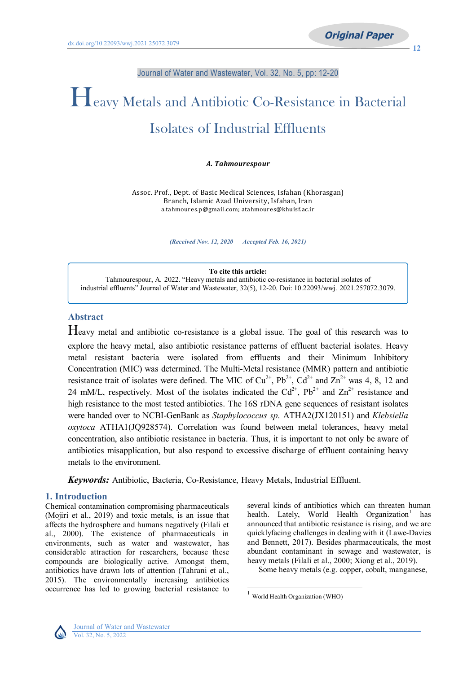Journal of Water and Wastewater, Vol. 32, No. 5, pp: 12-20

# Heavy Metals and Antibiotic Co-Resistance in Bacterial Isolates of Industrial Effluents

*A. Tahmourespour*

Assoc. Prof., Dept. of Basic Medical Sciences, Isfahan (Khorasgan) Branch, Islamic Azad University, Isfahan, Iran a.tahmoures.p@gmail.com; atahmoures@khuisf.ac.ir

*(Received Nov. 12, 2020 Accepted Feb. 16, 2021)*

**To cite this article:** Tahmourespour, A. 2022. "Heavy metals and antibiotic co-resistance in bacterial isolates of industrial effluents" Journal of Water and Wastewater, 32(5), 12-20. Doi: 10.22093/wwj. 2021.257072.3079.

# **Abstract**

Heavy metal and antibiotic co-resistance is a global issue. The goal of this research was to explore the heavy metal, also antibiotic resistance patterns of effluent bacterial isolates. Heavy metal resistant bacteria were isolated from effluents and their Minimum Inhibitory Concentration (MIC) was determined. The Multi-Metal resistance (MMR) pattern and antibiotic resistance trait of isolates were defined. The MIC of  $Cu^{2+}$ ,  $Pb^{2+}$ ,  $Cd^{2+}$  and  $Zn^{2+}$  was 4, 8, 12 and 24 mM/L, respectively. Most of the isolates indicated the  $Cd^{2+}$ ,  $Pb^{2+}$  and  $Zn^{2+}$  resistance and high resistance to the most tested antibiotics. The 16S rDNA gene sequences of resistant isolates were handed over to NCBI-GenBank as *Staphylococcus sp*. ATHA2(JX120151) and *Klebsiella oxytoca* ATHA1(JQ928574). Correlation was found between metal tolerances, heavy metal concentration, also antibiotic resistance in bacteria. Thus, it is important to not only be aware of antibiotics misapplication, but also respond to excessive discharge of effluent containing heavy metals to the environment.

 $\overline{a}$ 

*Keywords:* Antibiotic, Bacteria, Co-Resistance, Heavy Metals, Industrial Effluent.

# **1. Introduction**

Chemical contamination compromising pharmaceuticals (Mojiri et al., 2019) and toxic metals, is an issue that affects the hydrosphere and humans negatively (Filali et al., 2000). The existence of pharmaceuticals in environments, such as water and wastewater, has considerable attraction for researchers, because these compounds are biologically active. Amongst them, antibiotics have drawn lots of attention (Tahrani et al., 2015). The environmentally increasing antibiotics occurrence has led to growing bacterial resistance to

several kinds of antibiotics which can threaten human health. Lately, World Health [Organization](#page-0-0)<sup>1</sup> has announced that antibiotic resistance is rising, and we are quicklyfacing challenges in dealing with it (Lawe-Davies and Bennett, 2017). Besides pharmaceuticals, the most abundant contaminant in sewage and wastewater, is heavy metals (Filali et al., 2000; Xiong et al., 2019).

Some heavy metals (e.g. copper, cobalt, manganese,



<span id="page-0-0"></span><sup>&</sup>lt;sup>1</sup> World Health Organization (WHO)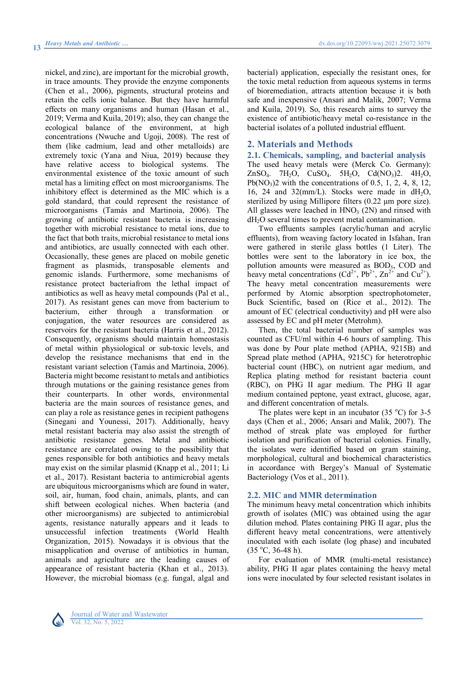nickel, and zinc), are important for the microbial growth, in trace amounts. They provide the enzyme components (Chen et al., 2006), pigments, structural proteins and retain the cells ionic balance. But they have harmful effects on many organisms and human (Hasan et al., 2019; Verma and Kuila, 2019); also, they can change the ecological balance of the environment, at high concentrations (Nwuche and Ugoji, 2008). The rest of them (like cadmium, lead and other metalloids) are extremely toxic (Yana and Niua, 2019) because they have relative access to biological systems. The environmental existence of the toxic amount of such metal has a limiting effect on most microorganisms. The inhibitory effect is determined as the MIC which is a gold standard, that could represent the resistance of microorganisms (Tamás and Martinoia, 2006). The growing of antibiotic resistant bacteria is increasing together with microbial resistance to metal ions, due to the fact that both traits, microbial resistance to metal ions and antibiotics, are usually connected with each other. Occasionally, these genes are placed on mobile genetic fragment as plasmids, transposable elements and genomic islands. Furthermore, some mechanisms of resistance protect bacteriafrom the lethal impact of antibiotics as well as heavy metal compounds (Pal et al., 2017). As resistant genes can move from bacterium to bacterium, either through a transformation or conjugation, the water resources are considered as reservoirs for the resistant bacteria (Harris et al., 2012). Consequently, organisms should maintain homeostasis of metal within physiological or sub-toxic levels, and develop the resistance mechanisms that end in the resistant variant selection (Tamás and Martinoia, 2006). Bacteria might become resistant to metals and antibiotics through mutations or the gaining resistance genes from their counterparts. In other words, environmental bacteria are the main sources of resistance genes, and can play a role as resistance genes in recipient pathogens (Sinegani and Younessi, 2017). Additionally, heavy metal resistant bacteria may also assist the strength of antibiotic resistance genes. Metal and antibiotic resistance are correlated owing to the possibility that genes responsible for both antibiotics and heavy metals may exist on the similar plasmid (Knapp et al., 2011; Li et al., 2017). Resistant bacteria to antimicrobial agents are ubiquitous microorganisms which are found in water, soil, air, human, food chain, animals, plants, and can shift between ecological niches. When bacteria (and other microorganisms) are subjected to antimicrobial agents, resistance naturally appears and it leads to unsuccessful infection treatments (World Health Organization, 2015). Nowadays it is obvious that the misapplication and overuse of antibiotics in human, animals and agriculture are the leading causes of appearance of resistant bacteria (Khan et al., 2013). However, the microbial biomass (e.g. fungal, algal and

bacterial) application, especially the resistant ones, for the toxic metal reduction from aqueous systems in terms of bioremediation, attracts attention because it is both safe and inexpensive (Ansari and Malik, 2007; Verma and Kuila, 2019). So, this research aims to survey the existence of antibiotic/heavy metal co-resistance in the bacterial isolates of a polluted industrial effluent.

# **2. Materials and Methods**

**2.1. Chemicals, sampling, and bacterial analysis** The used heavy metals were (Merck Co. Germany): ZnSO<sub>4</sub>. 7H<sub>2</sub>O, CuSO<sub>4</sub>. 5H<sub>2</sub>O, Cd(NO<sub>3</sub>)2. 4H<sub>2</sub>O,  $Pb(NO<sub>3</sub>)2$  with the concentrations of 0.5, 1, 2, 4, 8, 12, 16, 24 and 32(mm/L). Stocks were made in  $dH_2O$ , sterilized by using Millipore filters (0.22 µm pore size). All glasses were leached in  $HNO<sub>3</sub>$  (2N) and rinsed with  $dH<sub>2</sub>O$  several times to prevent metal contamination.

Two effluents samples (acrylic/human and acrylic effluents), from weaving factory located in Isfahan, Iran were gathered in sterile glass bottles (1 Liter). The bottles were sent to the laboratory in ice box, the pollution amounts were measured as BOD<sub>5</sub>, COD and heavy metal concentrations  $(Cd^{2+}, Pb^{2+}, Zn^{2+}$  and  $Cu^{2+}$ ). The heavy metal concentration measurements were performed by Atomic absorption spectrophotometer, Buck Scientific, based on (Rice et al., 2012). The amount of EC (electrical conductivity) and pH were also assessed by EC and pH meter (Metrohm).

Then, the total bacterial number of samples was counted as CFU/ml within 4-6 hours of sampling. This was done by Pour plate method (APHA, 9215B) and Spread plate method (APHA, 9215C) for heterotrophic bacterial count (HBC), on nutrient agar medium, and Replica plating method for resistant bacteria count (RBC), on PHG II agar medium. The PHG II agar medium contained peptone, yeast extract, glucose, agar, and different concentration of metals.

The plates were kept in an incubator  $(35 \degree C)$  for 3-5 days (Chen et al., 2006; Ansari and Malik, 2007). The method of streak plate was employed for further isolation and purification of bacterial colonies. Finally, the isolates were identified based on gram staining, morphological, cultural and biochemical characteristics in accordance with Bergey's Manual of Systematic Bacteriology (Vos et al., 2011).

# **2.2. MIC and MMR determination**

The minimum heavy metal concentration which inhibits growth of isolates (MIC) was obtained using the agar dilution mehod. Plates containing PHG II agar, plus the different heavy metal concentrations, were attentively inoculated with each isolate (log phase) and incubated  $(35 °C, 36-48 h).$ 

For evaluation of MMR (multi-metal resistance) ability, PHG II agar plates containing the heavy metal ions were inoculated by four selected resistant isolates in

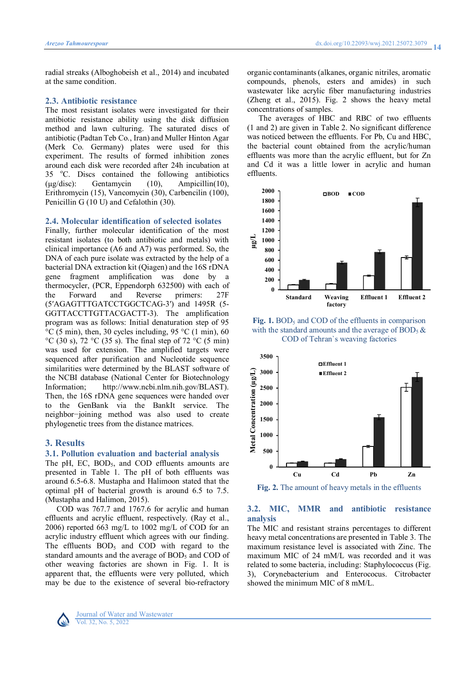radial streaks (Alboghobeish et al., 2014) and incubated at the same condition.

## **2.3. Antibiotic resistance**

The most resistant isolates were investigated for their antibiotic resistance ability using the disk diffusion method and lawn culturing. The saturated discs of antibiotic (Padtan Teb Co., Iran) and Muller Hinton Agar (Merk Co. Germany) plates were used for this experiment. The results of formed inhibition zones around each disk were recorded after 24h incubation at 35 °C. Discs contained the following antibiotics (µg/disc): Gentamycin (10), Ampicillin(10), Erithromycin (15), Vancomycin (30), Carbencilin (100), Penicillin G (10 U) and Cefalothin (30).

#### **2.4. Molecular identification of selected isolates**

Finally, further molecular identification of the most resistant isolates (to both antibiotic and metals) with clinical importance (A6 and A7) was performed. So, the DNA of each pure isolate was extracted by the help of a bacterial DNA extraction kit (Qiagen) and the 16S rDNA gene fragment amplification was done by a thermocycler, (PCR, Eppendorph 632500) with each of the Forward and Reverse primers: 27F (5′AGAGTTTGATCCTGGCTCAG-3′) and 1495R (5- GGTTACCTTGTTACGACTT-3). The amplification program was as follows: Initial denaturation step of 95 °C (5 min), then, 30 cycles including, 95 °C (1 min), 60 °C (30 s), 72 °C (35 s). The final step of 72 °C (5 min) was used for extension. The amplified targets were sequenced after purification and Nucleotide sequence similarities were determined by the BLAST software of the NCBI database (National Center for Biotechnology Information; http://www.ncbi.nlm.nih.gov/BLAST). Then, the 16S rDNA gene sequences were handed over to the GenBank via the BankIt service. The neighbor−joining method was also used to create phylogenetic trees from the distance matrices.

# **3. Results**

#### **3.1. Pollution evaluation and bacterial analysis**

The pH, EC,  $BOD<sub>5</sub>$ , and COD effluents amounts are presented in Table 1. The pH of both effluents was around 6.5-6.8. Mustapha and Halimoon stated that the optimal pH of bacterial growth is around 6.5 to 7.5. (Mustapha and Halimon, 2015).

COD was 767.7 and 1767.6 for acrylic and human effluents and acrylic effluent, respectively. (Ray et al., 2006) reported 663 mg/L to 1002 mg/L of COD for an acrylic industry effluent which agrees with our finding. The effluents BOD<sub>5</sub> and COD with regard to the standard amounts and the average of BOD<sub>5</sub> and COD of other weaving factories are shown in Fig. 1. It is apparent that, the effluents were very polluted, which may be due to the existence of several bio-refractory



Journal of Water and Wastewater Vol. 32, No. 5, 2022

organic contaminants (alkanes, organic nitriles, aromatic compounds, phenols, esters and amides) in such wastewater like acrylic fiber manufacturing industries (Zheng et al., 2015). Fig. 2 shows the heavy metal concentrations of samples.

The averages of HBC and RBC of two effluents (1 and 2) are given in Table 2. No significant difference was noticed between the effluents. For Pb, Cu and HBC, the bacterial count obtained from the acrylic/human effluents was more than the acrylic effluent, but for Zn and Cd it was a little lower in acrylic and human effluents.



Fig. 1. BOD<sub>5</sub> and COD of the effluents in comparison with the standard amounts and the average of  $BOD_5 \&$ COD of Tehran`s weaving factories



**Fig. 2.** The amount of heavy metals in the effluents

# **3.2. MIC, MMR and antibiotic resistance analysis**

The MIC and resistant strains percentages to different heavy metal concentrations are presented in Table 3. The maximum resistance level is associated with Zinc. The maximum MIC of 24 mM/L was recorded and it was related to some bacteria, including: Staphylococcus (Fig. 3), Corynebacterium and Enterococus. Citrobacter showed the minimum MIC of 8 mM/L.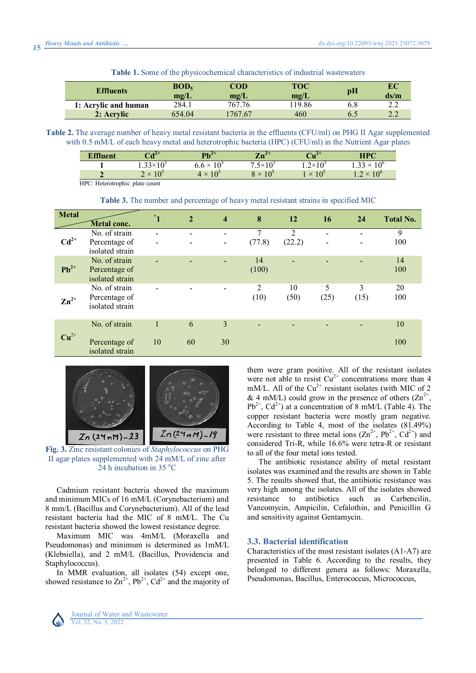| <b>Table 1.</b> Some of the physicochemical characteristics of industrial wastewaters |
|---------------------------------------------------------------------------------------|
|---------------------------------------------------------------------------------------|

| <b>Effluents</b>     | BOD <sub>5</sub> | COD           | TOC   |     | EС           |
|----------------------|------------------|---------------|-------|-----|--------------|
|                      | mg/L             | $\text{mg/L}$ | mg/L  | pН  | ds/m         |
| 1: Acrylic and human | 284.1            | 767.76        | 19.86 | 6.8 | , , <u>,</u> |
| 2: Acrylic           | 654.04           | 1767.67       | 460   | 6.5 |              |

**Table 2.** The average number of heavy metal resistant bacteria in the effluents (CFU/ml) on PHG II Agar supplemented with 0.5 mM/L of each heavy metal and heterotrophic bacteria (HPC) (CFU/ml) in the Nutrient Agar plates

| <sup>T</sup> fluent                     | $Cd2+$             | mı. 4+<br>. U                              | י∡…יד<br>zu                       | $Cu2+$                      | <b>HPC</b>                              |
|-----------------------------------------|--------------------|--------------------------------------------|-----------------------------------|-----------------------------|-----------------------------------------|
|                                         | $1.33\times10^{5}$ | 10 <sup>5</sup><br>$6.6 \times$            | $.5\times10^{3}$                  | $1.2 \times 10^{5}$         | 10 <sup>c</sup><br>1.33<br>$\checkmark$ |
|                                         | ഹ<br>2 x<br>1 U    | 10 <sup>5</sup><br>$\sqrt{ }$<br>$\lambda$ | 10 <sup>2</sup><br>$\sqrt{}$<br>↗ | 10 <sup>2</sup><br>$\times$ | $10^{\circ}$<br>1.4                     |
| TIDO IL.<br>$\sim$ $\sim$ $\sim$ $\sim$ |                    |                                            |                                   |                             |                                         |

HPC: Heterotrophic plate count

**Table 3.** The number and percentage of heavy metal resistant strains in specified MIC

| <b>Metal</b>       | <b>Metal conc.</b>                                | $\mathbf{1}$ | $\overline{2}$ | $\overline{\mathbf{4}}$  | 8           | 12                       | 16                            | 24        | <b>Total No.</b> |
|--------------------|---------------------------------------------------|--------------|----------------|--------------------------|-------------|--------------------------|-------------------------------|-----------|------------------|
| $Cd2+$             | No. of strain<br>Percentage of<br>isolated strain |              |                | $\overline{\phantom{a}}$ | 7<br>(77.8) | $\overline{2}$<br>(22.2) | $\overline{\phantom{0}}$<br>- |           | 9<br>100         |
| $Pb^{2+}$          | No. of strain<br>Percentage of<br>isolated strain |              |                | $\blacksquare$           | 14<br>(100) | $\overline{\phantom{0}}$ |                               | -         | 14<br>100        |
| $\mathbf{Zn}^{2+}$ | No. of strain<br>Percentage of<br>isolated strain |              |                | $\blacksquare$           | 2<br>(10)   | 10<br>(50)               | 5<br>(25)                     | 3<br>(15) | 20<br>100        |
| $Cu2+$             | No. of strain<br>Percentage of<br>isolated strain | 10           | 6<br>60        | 3<br>30                  |             |                          |                               |           | 10<br>100        |



**Fig. 3.** Zinc resistant colonies of *Staphylococcus* on PHG II agar plates supplemented with 24 mM/L of zinc after 24 h incubation in 35 $^{\circ}$ C

Cadmium resistant bacteria showed the maximum and minimum MICs of 16 mM/L (Corynebacterium) and 8 mm/L (Bacillus and Corynebacterium). All of the lead resistant bacteria had the MIC of 8 mM/L. The Cu resistant bacteria showed the lowest resistance degree.

Maximum MIC was 4mM/L (Moraxella and Pseudomonas) and minimum is determined as 1mM/L (Klebsiella), and 2 mM/L (Bacillus, Providencia and Staphylococcus).

In MMR evaluation, all isolates (54) except one, showed resistance to  $\text{Zn}^{2+}$ ,  $\text{Pb}^{2+}$ ,  $\text{Cd}^{2+}$  and the majority of

them were gram positive. All of the resistant isolates were not able to resist  $Cu^{2+}$  concentrations more than 4 mM/L. All of the  $Cu^{2+}$  resistant isolates (with MIC of 2 & 4 mM/L) could grow in the presence of others  $(Zn^{2+})$ ,  $Pb^{2+}$ , Cd<sup>2+</sup>) at a concentration of 8 mM/L (Table 4). The copper resistant bacteria were mostly gram negative. According to Table 4, most of the isolates (81.49%) were resistant to three metal ions  $(Zn^{2+}, Pb^{2+}, Cd^{2+})$  and considered Tri-R, while 16.6% were tetra-R or resistant to all of the four metal ions tested.

The antibiotic resistance ability of metal resistant isolates was examined and the results are shown in Table 5. The results showed that, the antibiotic resistance was very high among the isolates. All of the isolates showed resistance to antibiotics such as Carbencilin, Vancomycin, Ampicilin, Cefalothin, and Penicillin G and sensitivity against Gentamycin.

#### **3.3. Bacterial identification**

Characteristics of the most resistant isolates (A1-A7) are presented in Table 6. According to the results, they belonged to different genera as follows: Moraxella, Pseudomonas, Bacillus, Enterococcus, Micrococcus,

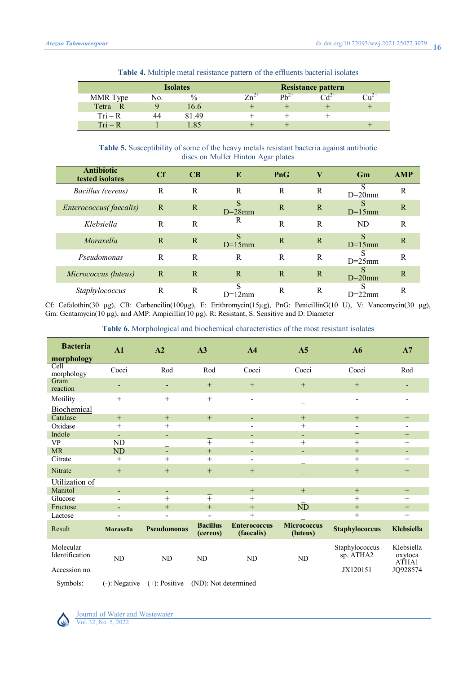|             |     | <b>Isolates</b> |           | <b>Resistance pattern</b>         |  |
|-------------|-----|-----------------|-----------|-----------------------------------|--|
| MMR Type    | No. | $\%$            | $Ph^{2+}$ | $C_{\mathcal{A}}^{\mathcal{Z}^+}$ |  |
| $Tetra - R$ |     | 16.6            |           |                                   |  |
| $Tri - R$   |     | 81.49           |           |                                   |  |
| $Tri - R$   |     | .85             |           |                                   |  |

**Table 4.** Multiple metal resistance pattern of the effluents bacterial isolates

**Table 5.** Susceptibility of some of the heavy metals resistant bacteria against antibiotic discs on Muller Hinton Agar plates

| <b>Antibiotic</b><br>tested isolates | Cf | CB | E              | PnG | $\bf V$      | Gm             | <b>AMP</b> |
|--------------------------------------|----|----|----------------|-----|--------------|----------------|------------|
| Bacillus (cereus)                    | R  | R  | R              | R   | R            | c<br>$D=20$ mm | R          |
| Enterococcus(faecalis)               | R  | R  | S<br>$D=28$ mm | R   | $\mathbb{R}$ | $D=15$ mm      | R          |
| Klebsiella                           | R  | R  | R              | R   | R            | ND             | R          |
| Moraxella                            | R  | R  | S<br>$D=15$ mm | R   | R            | $D=15$ mm      | R          |
| Pseudomonas                          | R  | R  | R              | R   | R            | $D=25$ mm      | R          |
| Micrococcus (luteus)                 | R  | R  | R              | R   | R            | $D=20$ mm      | R          |
| <i>Staphylococcus</i>                | R  | R  | S<br>$D=12$ mm | R   | R            | $D=22$ mm      | R          |

Cf: Cefalothin(30 µg), CB: Carbencilin(100µg), E: Erithromycin(15µg), PnG: PenicillinG(10 U), V: Vancomycin(30 µg), Gm: Gentamycin(10 µg), and AMP: Ampicillin(10 µg). R: Resistant, S: Sensitive and D: Diameter

| <b>Table 6.</b> Morphological and biochemical characteristics of the most resistant isolates |  |  |  |  |
|----------------------------------------------------------------------------------------------|--|--|--|--|
|----------------------------------------------------------------------------------------------|--|--|--|--|

| <b>Bacteria</b>             | A1                       | A2                       | A3                          | A <sub>4</sub>                    | A <sub>5</sub>                 | A6                          | A7                             |
|-----------------------------|--------------------------|--------------------------|-----------------------------|-----------------------------------|--------------------------------|-----------------------------|--------------------------------|
| morphology                  |                          |                          |                             |                                   |                                |                             |                                |
| Cell<br>morphology          | Cocci                    | Rod                      | Rod                         | Cocci                             | Cocci                          | Cocci                       | Rod                            |
| Gram<br>reaction            | ۰.                       | ٠                        | $+$                         | $^{+}$                            | $^{+}$                         | $^{+}$                      | ٠                              |
| Motility                    | $+$                      | $+$                      | $+$                         | $\blacksquare$                    |                                | $\overline{\phantom{a}}$    | $\overline{\phantom{a}}$       |
| Biochemical                 |                          |                          |                             |                                   |                                |                             |                                |
| Catalase                    | $+$                      | $+$                      | $+$                         | $\overline{\phantom{a}}$          | $+$                            | $+$                         | $+$                            |
| Oxidase                     | $^{+}$                   | $+$                      |                             | -                                 | $^{+}$                         | $\blacksquare$              | $\overline{\phantom{a}}$       |
| Indole                      | $\overline{\phantom{a}}$ | -                        |                             | $\blacksquare$                    | $\blacksquare$                 | $=$                         | $^{+}$                         |
| <b>VP</b>                   | <b>ND</b>                |                          | $+$                         | $+$                               | $^{+}$                         | $+$                         | $^{+}$                         |
| <b>MR</b>                   | ND                       | $\blacksquare$           | $+$                         | $\blacksquare$                    | $\blacksquare$                 | $+$                         | $\overline{\phantom{a}}$       |
| Citrate                     | $^{+}$                   | $+$                      | $+$                         | $\overline{\phantom{a}}$          |                                | $+$                         | $+$                            |
| Nitrate                     | $^{+}$                   | $+$                      | $^{+}$                      | $^{+}$                            |                                | $^{+}$                      | $^{+}$                         |
| Utilization of              |                          |                          |                             |                                   |                                |                             |                                |
| Manitol                     | ÷.                       | $\overline{\phantom{0}}$ |                             | $+$                               | $+$                            | $+$                         | $+$                            |
| Glucose                     | -                        | $+$                      | $+$                         | $+$                               |                                | $+$                         | $^{+}$                         |
| Fructose                    |                          | $+$                      | $+$                         | $+$                               | <b>ND</b>                      | $+$                         | $+$                            |
| Lactose                     | -                        | $\overline{\phantom{0}}$ | $\blacksquare$              | $+$                               |                                | $^{+}$                      | $^{+}$                         |
| Result                      | <b>Moraxella</b>         | <b>Pseudomonas</b>       | <b>Bacillus</b><br>(cereus) | <b>Enterococcus</b><br>(faecalis) | <b>Micrococcus</b><br>(luteus) | <b>Staphylococcus</b>       | Klebsiella                     |
| Molecular<br>Identification | N <sub>D</sub>           | ND                       | ND                          | <b>ND</b>                         | N <sub>D</sub>                 | Staphylococcus<br>sp. ATHA2 | Klebsiella<br>oxytoca<br>ATHA1 |
| Accession no.               |                          |                          |                             |                                   |                                | JX120151                    | JQ928574                       |

Symbols: (-): Negative (+): Positive (ND): Not determined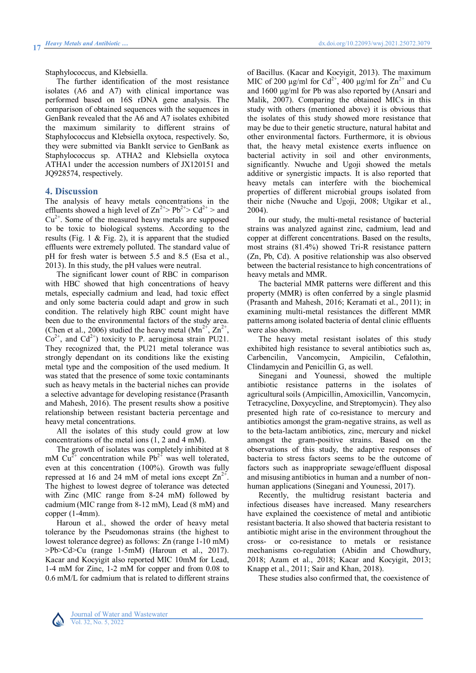Staphylococcus, and Klebsiella.

The further identification of the most resistance isolates (A6 and A7) with clinical importance was performed based on 16S rDNA gene analysis. The comparison of obtained sequences with the sequences in GenBank revealed that the A6 and A7 isolates exhibited the maximum similarity to different strains of Staphylococcus and Klebsiella oxytoca, respectively. So, they were submitted via BankIt service to GenBank as Staphylococcus sp. ATHA2 and Klebsiella oxytoca ATHA1 under the accession numbers of JX120151 and JQ928574, respectively.

### **4. Discussion**

The analysis of heavy metals concentrations in the effluents showed a high level of  $\text{Zn}^{2+}$  > Pb<sup>2+</sup> > Cd<sup>2+</sup> > and  $Cu<sup>2+</sup>$ . Some of the measured heavy metals are supposed to be toxic to biological systems. According to the results (Fig. 1 & Fig. 2), it is apparent that the studied effluents were extremely polluted. The standard value of pH for fresh water is between 5.5 and 8.5 (Esa et al., 2013). In this study, the pH values were neutral.

The significant lower count of RBC in comparison with HBC showed that high concentrations of heavy metals, especially cadmium and lead, had toxic effect and only some bacteria could adapt and grow in such condition. The relatively high RBC count might have been due to the environmental factors of the study area. (Chen et al., 2006) studied the heavy metal  $(Mn^{2+}, Zn^{2+},$  $Co<sup>2+</sup>$ , and  $Cd<sup>2+</sup>$ ) toxicity to P. aeruginosa strain PU21. They recognized that, the PU21 metal tolerance was strongly dependant on its conditions like the existing metal type and the composition of the used medium. It was stated that the presence of some toxic contaminants such as heavy metals in the bacterial niches can provide a selective advantage for developing resistance (Prasanth and Mahesh, 2016). The present results show a positive relationship between resistant bacteria percentage and heavy metal concentrations.

All the isolates of this study could grow at low concentrations of the metal ions (1, 2 and 4 mM).

The growth of isolates was completely inhibited at 8 mM  $Cu^{2+}$  concentration while  $Pb^{2+}$  was well tolerated, even at this concentration (100%). Growth was fully repressed at 16 and 24 mM of metal ions except  $\text{Zn}^{2+}$ . The highest to lowest degree of tolerance was detected with Zinc (MIC range from 8-24 mM) followed by cadmium (MIC range from 8-12 mM), Lead (8 mM) and copper (1-4mm).

Haroun et al., showed the order of heavy metal tolerance by the Pseudomonas strains (the highest to lowest tolerance degree) as follows: Zn (range 1-10 mM) >Pb>Cd>Cu (range 1-5mM) (Haroun et al., 2017). Kacar and Kocyigit also reported MIC 10mM for Lead, 1-4 mM for Zinc, 1-2 mM for copper and from 0.08 to 0.6 mM/L for cadmium that is related to different strains

of Bacillus. (Kacar and Kocyigit, 2013). The maximum MIC of 200  $\mu$ g/ml for Cd<sup>2+</sup>, 400  $\mu$ g/ml for Zn<sup>2+</sup> and Cu and 1600 µg/ml for Pb was also reported by (Ansari and Malik, 2007). Comparing the obtained MICs in this study with others (mentioned above) it is obvious that the isolates of this study showed more resistance that may be due to their genetic structure, natural habitat and other environmental factors. Furthermore, it is obvious that, the heavy metal existence exerts influence on bacterial activity in soil and other environments, significantly. Nwuche and Ugoji showed the metals additive or synergistic impacts. It is also reported that heavy metals can interfere with the biochemical properties of different microbial groups isolated from their niche (Nwuche and Ugoji, 2008; Utgikar et al., 2004).

In our study, the multi-metal resistance of bacterial strains was analyzed against zinc, cadmium, lead and copper at different concentrations. Based on the results, most strains (81.4%) showed Tri-R resistance pattern (Zn, Pb, Cd). A positive relationship was also observed between the bacterial resistance to high concentrations of heavy metals and MMR.

The bacterial MMR patterns were different and this property (MMR) is often conferred by a single plasmid (Prasanth and Mahesh, 2016; Keramati et al., 2011); in examining multi-metal resistances the different MMR patterns among isolated bacteria of dental clinic effluents were also shown.

The heavy metal resistant isolates of this study exhibited high resistance to several antibiotics such as, Carbencilin, Vancomycin, Ampicilin, Cefalothin, Clindamycin and Penicillin G, as well.

Sinegani and Younessi, showed the multiple antibiotic resistance patterns in the isolates of agricultural soils (Ampicillin, Amoxicillin, Vancomycin, Tetracycline, Doxycycline, and Streptomycin). They also presented high rate of co-resistance to mercury and antibiotics amongst the gram-negative strains, as well as to the beta-lactam antibiotics, zinc, mercury and nickel amongst the gram-positive strains. Based on the observations of this study, the adaptive responses of bacteria to stress factors seems to be the outcome of factors such as inappropriate sewage/effluent disposal and misusing antibiotics in human and a number of nonhuman applications (Sinegani and Younessi, 2017).

Recently, the multidrug resistant bacteria and infectious diseases have increased. Many researchers have explained the coexistence of metal and antibiotic resistant bacteria. It also showed that bacteria resistant to antibiotic might arise in the environment throughout the cross- or co-resistance to metals or resistance mechanisms co-regulation (Abidin and Chowdhury, 2018; Azam et al., 2018; Kacar and Kocyigit, 2013; Knapp et al., 2011; Sair and Khan, 2018).

These studies also confirmed that, the coexistence of

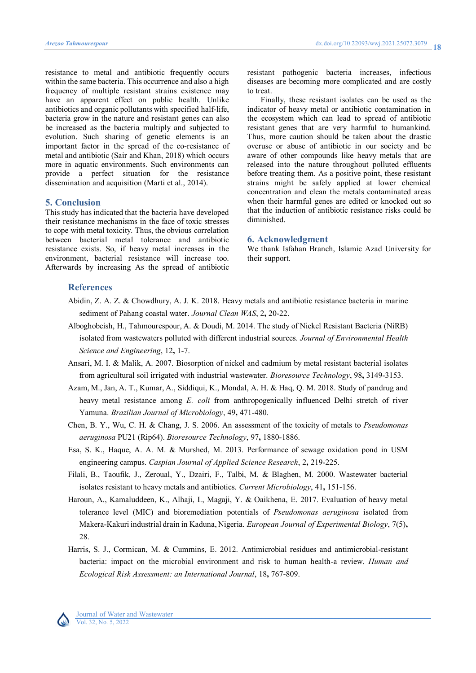resistance to metal and antibiotic frequently occurs within the same bacteria. This occurrence and also a high frequency of multiple resistant strains existence may have an apparent effect on public health. Unlike antibiotics and organic pollutants with specified half-life, bacteria grow in the nature and resistant genes can also be increased as the bacteria multiply and subjected to evolution. Such sharing of genetic elements is an important factor in the spread of the co-resistance of metal and antibiotic (Sair and Khan, 2018) which occurs more in aquatic environments. Such environments can provide a perfect situation for the resistance dissemination and acquisition (Marti et al., 2014).

## **5. Conclusion**

This study has indicated that the bacteria have developed their resistance mechanisms in the face of toxic stresses to cope with metal toxicity. Thus, the obvious correlation between bacterial metal tolerance and antibiotic resistance exists. So, if heavy metal increases in the environment, bacterial resistance will increase too. Afterwards by increasing As the spread of antibiotic resistant pathogenic bacteria increases, infectious diseases are becoming more complicated and are costly to treat.

Finally, these resistant isolates can be used as the indicator of heavy metal or antibiotic contamination in the ecosystem which can lead to spread of antibiotic resistant genes that are very harmful to humankind. Thus, more caution should be taken about the drastic overuse or abuse of antibiotic in our society and be aware of other compounds like heavy metals that are released into the nature throughout polluted effluents before treating them. As a positive point, these resistant strains might be safely applied at lower chemical concentration and clean the metals contaminated areas when their harmful genes are edited or knocked out so that the induction of antibiotic resistance risks could be diminished.

#### **6. Acknowledgment**

We thank Isfahan Branch, Islamic Azad University for their support.

# **References**

- Abidin, Z. A. Z. & Chowdhury, A. J. K. 2018. Heavy metals and antibiotic resistance bacteria in marine sediment of Pahang coastal water. *Journal Clean WAS*, 2**,** 20-22.
- Alboghobeish, H., Tahmourespour, A. & Doudi, M. 2014. The study of Nickel Resistant Bacteria (NiRB) isolated from wastewaters polluted with different industrial sources. *Journal of Environmental Health Science and Engineering*, 12**,** 1-7.
- Ansari, M. I. & Malik, A. 2007. Biosorption of nickel and cadmium by metal resistant bacterial isolates from agricultural soil irrigated with industrial wastewater. *Bioresource Technology*, 98**,** 3149-3153.
- Azam, M., Jan, A. T., Kumar, A., Siddiqui, K., Mondal, A. H. & Haq, Q. M. 2018. Study of pandrug and heavy metal resistance among *E. coli* from anthropogenically influenced Delhi stretch of river Yamuna. *Brazilian Journal of Microbiology*, 49**,** 471-480.
- Chen, B. Y., Wu, C. H. & Chang, J. S. 2006. An assessment of the toxicity of metals to *Pseudomonas aeruginosa* PU21 (Rip64). *Bioresource Technology*, 97**,** 1880-1886.
- Esa, S. K., Haque, A. A. M. & Murshed, M. 2013. Performance of sewage oxidation pond in USM engineering campus. *Caspian Journal of Applied Science Research*, 2**,** 219-225.
- Filali, B., Taoufik, J., Zeroual, Y., Dzairi, F., Talbi, M. & Blaghen, M. 2000. Wastewater bacterial isolates resistant to heavy metals and antibiotics. *Current Microbiology*, 41**,** 151-156.
- Haroun, A., Kamaluddeen, K., Alhaji, I., Magaji, Y. & Oaikhena, E. 2017. Evaluation of heavy metal tolerance level (MIC) and bioremediation potentials of *Pseudomonas aeruginosa* isolated from Makera-Kakuri industrial drain in Kaduna, Nigeria. *European Journal of Experimental Biology*, 7(5)**,** 28.
- Harris, S. J., Cormican, M. & Cummins, E. 2012. Antimicrobial residues and antimicrobial-resistant bacteria: impact on the microbial environment and risk to human health-a review. *Human and Ecological Risk Assessment: an International Journal*, 18**,** 767-809.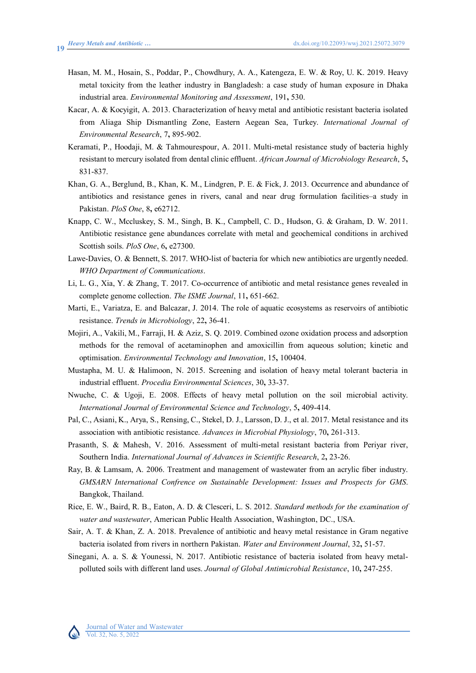- Hasan, M. M., Hosain, S., Poddar, P., Chowdhury, A. A., Katengeza, E. W. & Roy, U. K. 2019. Heavy metal toxicity from the leather industry in Bangladesh: a case study of human exposure in Dhaka industrial area. *Environmental Monitoring and Assessment*, 191**,** 530.
- Kacar, A. & Kocyigit, A. 2013. Characterization of heavy metal and antibiotic resistant bacteria isolated from Aliaga Ship Dismantling Zone, Eastern Aegean Sea, Turkey. *International Journal of Environmental Research*, 7**,** 895-902.
- Keramati, P., Hoodaji, M. & Tahmourespour, A. 2011. Multi-metal resistance study of bacteria highly resistant to mercury isolated from dental clinic effluent. *African Journal of Microbiology Research*, 5**,** 831-837.
- Khan, G. A., Berglund, B., Khan, K. M., Lindgren, P. E. & Fick, J. 2013. Occurrence and abundance of antibiotics and resistance genes in rivers, canal and near drug formulation facilities–a study in Pakistan. *PloS One*, 8**,** e62712.
- Knapp, C. W., Mccluskey, S. M., Singh, B. K., Campbell, C. D., Hudson, G. & Graham, D. W. 2011. Antibiotic resistance gene abundances correlate with metal and geochemical conditions in archived Scottish soils. *PloS One*, 6**,** e27300.
- Lawe-Davies, O. & Bennett, S. 2017. WHO-list of bacteria for which new antibiotics are urgently needed. *WHO Department of Communications*.
- Li, L. G., Xia, Y. & Zhang, T. 2017. Co-occurrence of antibiotic and metal resistance genes revealed in complete genome collection. *The ISME Journal*, 11**,** 651-662.
- Marti, E., Variatza, E. and Balcazar, J. 2014. The role of aquatic ecosystems as reservoirs of antibiotic resistance. *Trends in Microbiology*, 22**,** 36-41.
- Mojiri, A., Vakili, M., Farraji, H. & Aziz, S. Q. 2019. Combined ozone oxidation process and adsorption methods for the removal of acetaminophen and amoxicillin from aqueous solution; kinetic and optimisation. *Environmental Technology and Innovation*, 15**,** 100404.
- Mustapha, M. U. & Halimoon, N. 2015. Screening and isolation of heavy metal tolerant bacteria in industrial effluent. *Procedia Environmental Sciences*, 30**,** 33-37.
- Nwuche, C. & Ugoji, E. 2008. Effects of heavy metal pollution on the soil microbial activity. *International Journal of Environmental Science and Technology*, 5**,** 409-414.
- Pal, C., Asiani, K., Arya, S., Rensing, C., Stekel, D. J., Larsson, D. J., et al. 2017. Metal resistance and its association with antibiotic resistance. *Advances in Microbial Physiology*, 70**,** 261-313.
- Prasanth, S. & Mahesh, V. 2016. Assessment of multi-metal resistant bacteria from Periyar river, Southern India. *International Journal of Advances in Scientific Research*, 2**,** 23-26.
- Ray, B. & Lamsam, A. 2006. Treatment and management of wastewater from an acrylic fiber industry. *GMSARN International Confrence on Sustainable Development: Issues and Prospects for GMS*. Bangkok, Thailand.
- Rice, E. W., Baird, R. B., Eaton, A. D. & Clesceri, L. S. 2012. *Standard methods for the examination of water and wastewater*, American Public Health Association, Washington, DC., USA.
- Sair, A. T. & Khan, Z. A. 2018. Prevalence of antibiotic and heavy metal resistance in Gram negative bacteria isolated from rivers in northern Pakistan. *Water and Environment Journal*, 32**,** 51-57.
- Sinegani, A. a. S. & Younessi, N. 2017. Antibiotic resistance of bacteria isolated from heavy metalpolluted soils with different land uses. *Journal of Global Antimicrobial Resistance*, 10**,** 247-255.